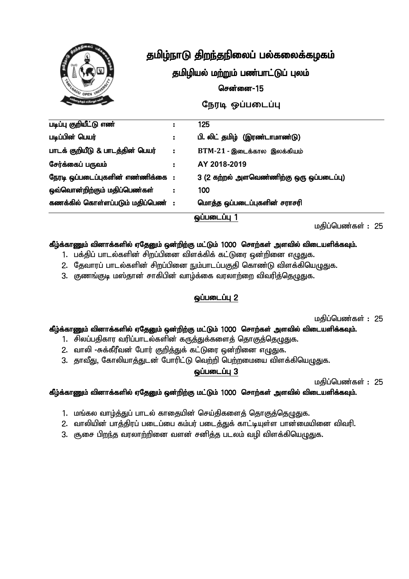

#### தமிழியல் மற்றும் பண்பாட்டுப் புலம்

#### சென்னை $-15$

நேரடி ஒப்படைப்பு

| படிப்பு குறியீட்டு எண்              |    | 125                                      |  |
|-------------------------------------|----|------------------------------------------|--|
| படிப்பின் பெயர்                     | ÷. | பி. லிட் தமிழ் (இரண்டாமாண்டு)            |  |
| பாடக் குறியீடு & பாடத்தின் பெயர்    | ÷. | $BTM-21$ - இடைக்கால இலக்கியம்            |  |
| சேர்க்கைப் பருவம்                   |    | AY 2018-2019                             |  |
| நேரடி ஒப்படைப்புகளின் எண்ணிக்கை :   |    | 3 (2 கற்றல் அளவெண்ணிற்கு ஒரு ஒப்படைப்பு) |  |
| ஒவ்வொன்றிற்கும் மதிப்பெண்கள்        |    | 100                                      |  |
| கணக்கில் கொள்ளப்படும் மதிப்பெண்   : |    | மொத்த ஒப்படைப்புகளின் சராசரி             |  |
| <b><u><u>QUILIMILLIU</u></u></b>    |    |                                          |  |

மதிப்பெண்கள் : 25

#### கீழ்க்காணும் வினாக்களில் ஏதேனும் ஒன்றிற்கு மட்டும் 1000 சொற்கள் அளவில் விடையளிக்கவும்.

- 1. பக்திப் பாடல்களின் சிறப்பினை விளக்கிக் கட்டுரை ஒன்றினை எழுதுக.
- 2. தேவாரப் பாடல்களின் சிறப்பினை நும்பாடப்பகுதி கொண்டு விளக்கியெழுதுக.
- 3. குணங்குடி மஸ்தான் சாகிபின் வாம்க்கை வரலாற்றை விவரிக்கெமுதுக.

#### **@ப்படைப்பு 2**

மதிப்பெண்கள் : 25

#### கீழ்க்காணும் வினாக்களில் ஏதேனும் ஒன்றிற்கு மட்டும் 1000 சொற்கள் அளவில் விடையளிக்கவும்.

- 1. சிலப்பதிகார வரிப்பாடல்களின் கருத்துக்களைத் தொகுத்தெழுதுக.
- 2. வாலி -சுக்கீரீவன் போர் குறித்துக் கட்டுரை ஒன்றினை எழுதுக.
- 3. தாவீது, கோலியாத்துடன் போரிட்டு வெற்றி பெற்றமையை விளக்கியெழுதுக.

#### $Q$ ப்படைப்பு $3$

மதிப்பெண்கள் : 25

- 1. மங்கல வாழ்த்துப் பாடல் காதையின் செய்திகளைத் தொகுத்தெழுதுக.
- 2. வாலியின் பாத்திரப் படைப்பை கம்பர் படைத்துக் காட்டியுள்ள பான்மையினை விவரி.
- 3. சூசை பிறந்த வரலாற்றினை வளன் சனித்த படலம் வழி விளக்கியெழுதுக.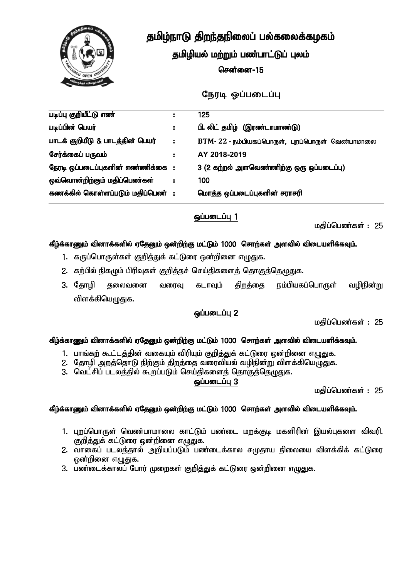

தமிழியல் மற்றும் பண்பாட்டுப் புலம்

சென்னை $-15$ 

*நோடி ஒப்படைப்பு* 

|                                   | 125                                              |
|-----------------------------------|--------------------------------------------------|
| ÷.                                | பி. லிட் தமிழ் (இரண்டாமாண்டு)                    |
| ÷.                                | BTM-22 - நம்பியகப்பொருள், புறப்பொருள் வெண்பாமாலை |
|                                   | AY 2018-2019                                     |
| நேரடி ஒப்படைப்புகளின் எண்ணிக்கை : | 3 (2 கற்றல் அளவெண்ணிற்கு ஒரு ஒப்படைப்பு)         |
|                                   | 100                                              |
| கணக்கில் கொள்ளப்படும் மதிப்பெண் : | மொத்த ஒப்படைப்புகளின் சராசரி                     |
|                                   |                                                  |

#### $Q$ ப்படைப்பு $1$

மகிப்பெண்கள் : 25

#### கீழ்க்காணும் வினாக்களில் ஏதேனும் ஒன்றிற்கு மட்டும் 1000 சொற்கள் அளவில் விடையளிக்கவும்.

- 1. கருப்பொருள்கள் குறித்துக் கட்டுரை ஒன்றினை எழுதுக.
- 2. கற்பில் நிகழும் பிரிவுகள் குறித்தச் செய்திகளைத் தொகுத்தெழுதுக.
- 3. தோழி தலைவனை வரைவு கடாவும் திறத்தை நம்பியகப்பொருள் வழிநின்று விளக்கியெழுதுக.

#### $Q$ ப்படைப்ப $Z$

மகிப்பெண்கள் : 25

#### கீழ்க்காணும் வினாக்களில் ஏதேனும் ஒன்றிற்கு மட்டும் 1000 சொற்கள் அளவில் விடையளிக்கவும்.

- 1. பாங்கற் கூட்டத்தின் வகையும் விரியும் குறித்துக் கட்டுரை ஒன்றினை எழுதுக.
- 2. தோழி அறத்தொடு நிற்கும் திறத்தை வரைவியல் வழிநின்று விளக்கியெழுதுக.
- 3. வெட்சிப் படலத்தில் கூறப்படும் செய்திகளைத் தொகுத்தெழுதுக.

#### $Q$ ப்படைப்பு $3$

மகிப்பெண்கள் : 25

- 1. புறப்பொருள் வெண்பாமாலை காட்டும் பண்டை மறக்குடி மகளிரின் இயல்புகளை விவரி. குறித்துக் கட்டுரை ஒன்றினை எழுதுக.
- 2. வாகைப் படலத்தால் அறியப்படும் பண்டைக்கால சமுதாய நிலையை விளக்கிக் கட்டுரை ஒன்றினை எழுதுக.
- 3. பண்டைக்காலப் போர் முறைகள் குறித்துக் கட்டுரை ஒன்றினை எழுதுக.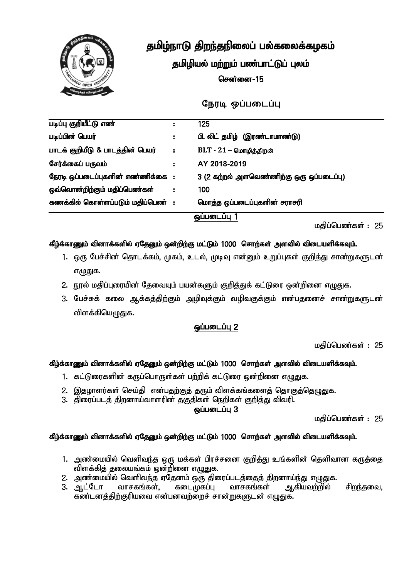

தமிழியல் மற்றும் பண்பாட்டுப் புலம்

சென்னை $-15$ 

நேரடி ஒப்படைப்பு

| படிப்பு குறியீட்டு எண்             | ÷  | 125                                      |  |
|------------------------------------|----|------------------------------------------|--|
| படிப்பின் பெயர்                    | ÷. | பி. லிட் தமிழ் (இரண்டாமாண்டு)            |  |
| பாடக் குறியீடு & பாடத்தின் பெயர்   | ÷  | $BLT - 21 -$ மொழித்திறன்                 |  |
| சேர்க்கைப் பருவம்                  | ÷. | AY 2018-2019                             |  |
| நேரடி ஒப்படைப்புகளின் எண்ணிக்கை :  |    | 3 (2 கற்றல் அளவெண்ணிற்கு ஒரு ஒப்படைப்பு) |  |
| ஒவ்வொன்றிற்கும் மதிப்பெண்கள்       | ÷  | 100                                      |  |
| கணக்கில் கொள்ளப்படும் மதிப்பெண்  : |    | மொத்த ஒப்படைப்புகளின் சராசரி             |  |
| ஒப்படைப்பு 1                       |    |                                          |  |

மகிப்பெண்கள் : 25

#### கீழ்க்காணும் வினாக்களில் ஏதேனும் ஒன்றிற்கு மட்டும் 1000 சொற்கள் அளவில் விடையளிக்கவும்.

- 1. ஒரு பேச்சின் தொடக்கம், முகம், உடல், முடிவு என்னும் உறுப்புகள் குறித்து சான்றுகளுடன் எழுதுக.
- 2. நூல் மதிப்புரையின் தேவையும் பயன்களும் குறித்துக் கட்டுரை ஒன்றினை எழுதுக.
- 3. பேச்சுக் கலை ஆக்கத்திற்கும் அழிவுக்கும் வழிவகுக்கும் என்பதனைச் சான்றுகளுடன் விளக்கியெழுதுக.

#### **<u>ஒப்படைப்பு</u> 2**

மகிப்பெண்கள் : 25

#### கீழ்க்காணும் வினாக்களில் ஏதேனும் ஒன்றிற்கு மட்டும் 1000 சொற்கள் அளவில் விடையளிக்கவும்.

- 1. கட்டுரைகளின் கருப்பொருள்கள் பற்றிக் கட்டுரை ஒன்றினை எழுதுக.
- 2. இதமாளர்கள் செய்தி என்பதற்குத் தரும் விளக்கங்களைத் தொகுத்தெழுதுக.
- 3. திரைப்படத் திறனாய்வாளரின் தகுதிகள் நெறிகள் குறித்து விவரி.

 $Q$ ப்படைப்பு $3$ 

மகிப்பெண்கள் : 25

- 1. அண்மையில் வெளிவந்த ஒரு மக்கள் பிரச்சனை குறித்து உங்களின் தெளிவான கருத்தை விளக்கித் தலையங்கம் ஒன்றினை எழுதுக.
- 2. அண்மையில் வெளிவந்த ஏதேனம் ஒரு திரைப்படத்தைத் திறனாய்ந்து எழுதுக.
- 3. ஆட்டோ வாசகங்கள், கடைமுகப்பு வாசகங்கள் ஆகியவற்றில் சிறந்தவை, கண்டனத்திற்குரியவை என்பனவற்றைச் சான்றுகளுடன் எழுதுக.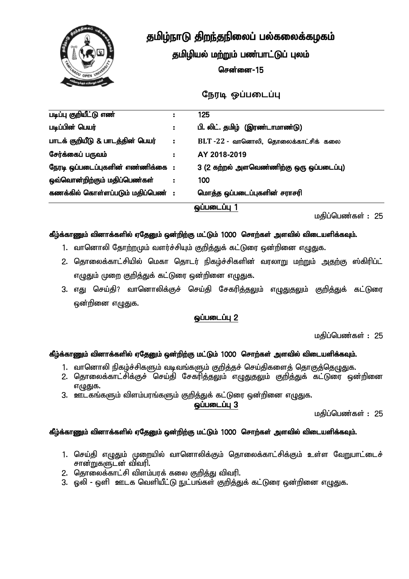

தமிழியல் மற்றும் பண்பாட்டுப் புலம்

சென்னை $-15$ 

*நோடி ஒப்படைப்பு* 

| படிப்பு குறியீட்டு எண்            |    | 125                                      |
|-----------------------------------|----|------------------------------------------|
| படிப்பின் பெயர்                   | ÷. | பி. லிட். தமிழ் (இரண்டாமாண்டு)           |
| பாடக் குறியீடு & பாடத்தின் பெயர்  | ÷. | BLT -22 - வானொலி, தொலைக்காட்சிக் கலை     |
| சேர்க்கைப் பருவம்                 | ÷  | AY 2018-2019                             |
| நேரடி ஒப்படைப்புகளின் எண்ணிக்கை : |    | 3 (2 கற்றல் அளவெண்ணிற்கு ஒரு ஒப்படைப்பு) |
| ஒவ்வொன்றிற்கும் மதிப்பெண்கள்      |    | 100                                      |
| கணக்கில் கொள்ளப்படும் மதிப்பெண் : |    | மொத்த ஒப்படைப்புகளின் சராசரி             |
|                                   |    | ஒப்படைப்பு 1                             |

மகிப்பெண்கள் : 25

#### கீழ்க்காணும் வினாக்களில் ஏதேனும் ஒன்றிற்கு மட்டும் 1000 சொற்கள் அளவில் விடையளிக்கவும்.

- 1. வானொலி தோற்றமும் வளர்ச்சியும் குறித்துக் கட்டுரை ஒன்றினை எழுதுக.
- 2. தொலைக்காட்சியில் மெகா தொடர் நிகழ்ச்சிகளின் வரலாறு மற்றும் அதற்கு ஸ்கிரிப்ட் எழுதும் முறை குறித்துக் கட்டுரை ஒன்றினை எழுதுக.
- 3. எது செய்தி? வானொலிக்குச் செய்தி சேகரி<u>த்தவு</u>ம் எ<u>ழுதுதவு</u>ம் குறித்துக் கட்டுரை ஒன்றினை எழுதுக.

#### $Q$ ப்படைப்பு $2$

மகிப்பெண்கள் : 25

#### கீழ்க்காணும் வினாக்களில் ஏதேனும் ஒன்றிற்கு மட்டும் 1000 சொற்கள் அளவில் விடையளிக்கவும்.

- 1. வானொலி நிகழ்ச்சிகளும் வடிவங்களும் குறித்தச் செய்திகளைத் தொகுத்தெழுதுக.
- 2. தொலைக்காட்சிக்குச் செய்தி சேகரித்தலும் எழுதுதலும் குறித்துக் கட்டுரை ஒன்றினை எழுதுக.
- 3. ஊடகங்களும் விளம்பரங்களும் குறித்துக் கட்டுரை ஒன்றினை எழுதுக.

 $Q$ ப்படைப்பு $3$ 

மகிப்பெண்கள் $: 25$ 

- 1. செய்தி எழுதும் முறையில் வானொலிக்கும் தொலைக்காட்சிக்கும் உள்ள வேறுபாட்டைச் சான்றுகளுடன் விவரி.
- 2. கொலைக்காட்சி விளம்பாக் கலை குறிக்கு விவரி.
- 3. ஒலி ஒளி ஊடக வெளியீட்டு நுட்பங்கள் குறித்துக் கட்டுரை ஒன்றினை எழுதுக.